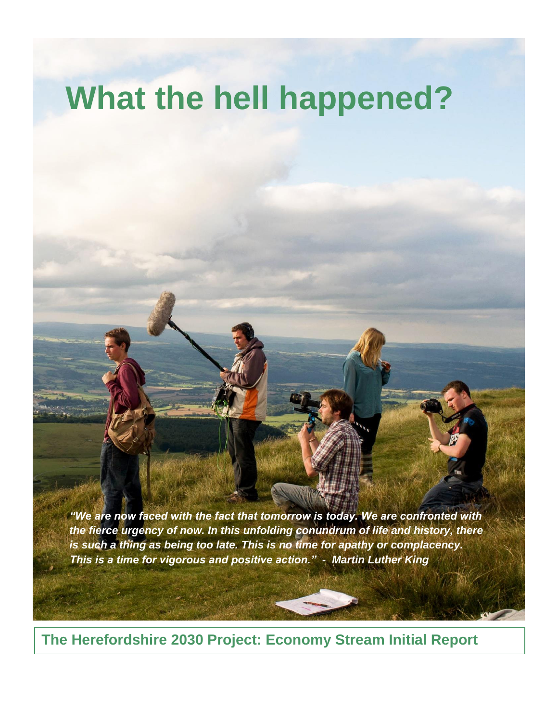# **What the hell happened?**

*"We are now faced with the fact that tomorrow is today. We are confronted with the fierce urgency of now. In this unfolding conundrum of life and history, there is such a thing as being too late. This is no time for apathy or complacency. This is a time for vigorous and positive action." - Martin Luther King*

**The Herefordshire 2030 Project: Economy Stream Initial Report**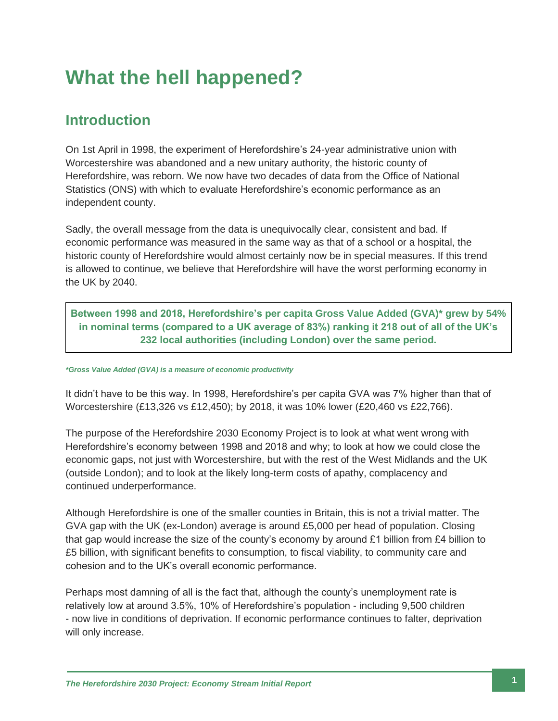## **What the hell happened?**

## **Introduction**

On 1st April in 1998, the experiment of Herefordshire's 24-year administrative union with Worcestershire was abandoned and a new unitary authority, the historic county of Herefordshire, was reborn. We now have two decades of data from the Office of National Statistics (ONS) with which to evaluate Herefordshire's economic performance as an independent county.

Sadly, the overall message from the data is unequivocally clear, consistent and bad. If economic performance was measured in the same way as that of a school or a hospital, the historic county of Herefordshire would almost certainly now be in special measures. If this trend is allowed to continue, we believe that Herefordshire will have the worst performing economy in the UK by 2040.

**Between 1998 and 2018, Herefordshire's per capita Gross Value Added (GVA)\* grew by 54% in nominal terms (compared to a UK average of 83%) ranking it 218 out of all of the UK's 232 local authorities (including London) over the same period.**

#### *\*Gross Value Added (GVA) is a measure of economic productivity*

It didn't have to be this way. In 1998, Herefordshire's per capita GVA was 7% higher than that of Worcestershire (£13,326 vs £12,450); by 2018, it was 10% lower (£20,460 vs £22,766).

The purpose of the Herefordshire 2030 Economy Project is to look at what went wrong with Herefordshire's economy between 1998 and 2018 and why; to look at how we could close the economic gaps, not just with Worcestershire, but with the rest of the West Midlands and the UK (outside London); and to look at the likely long-term costs of apathy, complacency and continued underperformance.

Although Herefordshire is one of the smaller counties in Britain, this is not a trivial matter. The GVA gap with the UK (ex-London) average is around £5,000 per head of population. Closing that gap would increase the size of the county's economy by around £1 billion from £4 billion to £5 billion, with significant benefits to consumption, to fiscal viability, to community care and cohesion and to the UK's overall economic performance.

Perhaps most damning of all is the fact that, although the county's unemployment rate is relatively low at around 3.5%, 10% of Herefordshire's population - including 9,500 children - now live in conditions of deprivation. If economic performance continues to falter, deprivation will only increase.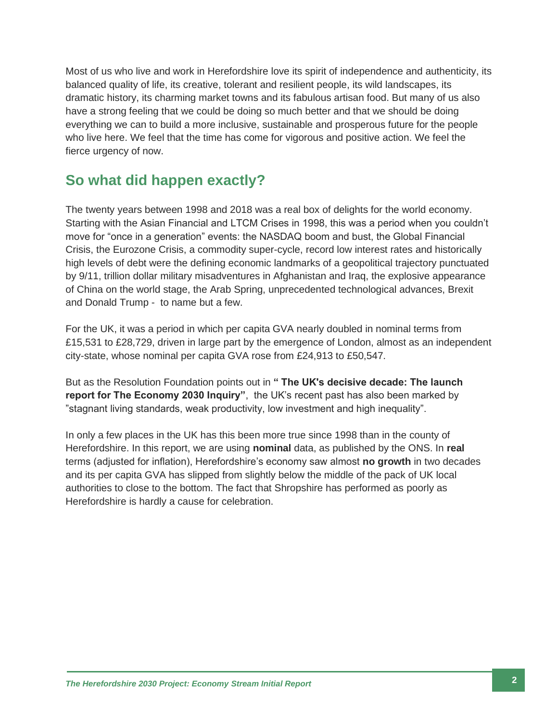Most of us who live and work in Herefordshire love its spirit of independence and authenticity, its balanced quality of life, its creative, tolerant and resilient people, its wild landscapes, its dramatic history, its charming market towns and its fabulous artisan food. But many of us also have a strong feeling that we could be doing so much better and that we should be doing everything we can to build a more inclusive, sustainable and prosperous future for the people who live here. We feel that the time has come for vigorous and positive action. We feel the fierce urgency of now.

## **So what did happen exactly?**

The twenty years between 1998 and 2018 was a real box of delights for the world economy. Starting with the Asian Financial and LTCM Crises in 1998, this was a period when you couldn't move for "once in a generation" events: the NASDAQ boom and bust, the Global Financial Crisis, the Eurozone Crisis, a commodity super-cycle, record low interest rates and historically high levels of debt were the defining economic landmarks of a geopolitical trajectory punctuated by 9/11, trillion dollar military misadventures in Afghanistan and Iraq, the explosive appearance of China on the world stage, the Arab Spring, unprecedented technological advances, Brexit and Donald Trump - to name but a few.

For the UK, it was a period in which per capita GVA nearly doubled in nominal terms from £15,531 to £28,729, driven in large part by the emergence of London, almost as an independent city-state, whose nominal per capita GVA rose from £24,913 to £50,547.

But as the Resolution Foundation points out in **" The UK's decisive decade: The launch report for The Economy 2030 Inquiry"**, the UK's recent past has also been marked by "stagnant living standards, weak productivity, low investment and high inequality".

In only a few places in the UK has this been more true since 1998 than in the county of Herefordshire. In this report, we are using **nominal** data, as published by the ONS. In **real** terms (adjusted for inflation), Herefordshire's economy saw almost **no growth** in two decades and its per capita GVA has slipped from slightly below the middle of the pack of UK local authorities to close to the bottom. The fact that Shropshire has performed as poorly as Herefordshire is hardly a cause for celebration.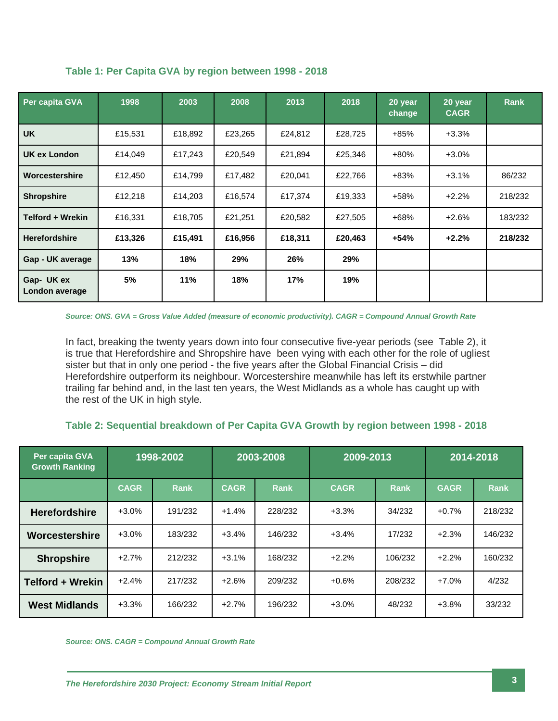| Per capita GVA              | 1998    | 2003    | 2008    | 2013    | 2018    | 20 year<br>change | 20 year<br><b>CAGR</b> | <b>Rank</b> |
|-----------------------------|---------|---------|---------|---------|---------|-------------------|------------------------|-------------|
| <b>UK</b>                   | £15,531 | £18,892 | £23,265 | £24,812 | £28,725 | $+85%$            | $+3.3%$                |             |
| UK ex London                | £14,049 | £17,243 | £20,549 | £21,894 | £25,346 | $+80%$            | $+3.0%$                |             |
| Worcestershire              | £12,450 | £14,799 | £17,482 | £20,041 | £22,766 | $+83%$            | $+3.1%$                | 86/232      |
| <b>Shropshire</b>           | £12,218 | £14,203 | £16,574 | £17,374 | £19,333 | $+58%$            | $+2.2%$                | 218/232     |
| <b>Telford + Wrekin</b>     | £16,331 | £18,705 | £21,251 | £20,582 | £27,505 | +68%              | $+2.6%$                | 183/232     |
| <b>Herefordshire</b>        | £13,326 | £15,491 | £16,956 | £18,311 | £20,463 | $+54%$            | $+2.2%$                | 218/232     |
| Gap - UK average            | 13%     | 18%     | 29%     | 26%     | 29%     |                   |                        |             |
| Gap-UK ex<br>London average | 5%      | 11%     | 18%     | 17%     | 19%     |                   |                        |             |

**Table 1: Per Capita GVA by region between 1998 - 2018**

*Source: ONS. GVA = Gross Value Added (measure of economic productivity). CAGR = Compound Annual Growth Rate*

In fact, breaking the twenty years down into four consecutive five-year periods (see Table 2), it is true that Herefordshire and Shropshire have been vying with each other for the role of ugliest sister but that in only one period - the five years after the Global Financial Crisis – did Herefordshire outperform its neighbour. Worcestershire meanwhile has left its erstwhile partner trailing far behind and, in the last ten years, the West Midlands as a whole has caught up with the rest of the UK in high style.

#### **Table 2: Sequential breakdown of Per Capita GVA Growth by region between 1998 - 2018**

| Per capita GVA<br><b>Growth Ranking</b> | 1998-2002   |             | 2003-2008   |             | 2009-2013   |             | 2014-2018   |             |
|-----------------------------------------|-------------|-------------|-------------|-------------|-------------|-------------|-------------|-------------|
|                                         | <b>CAGR</b> | <b>Rank</b> | <b>CAGR</b> | <b>Rank</b> | <b>CAGR</b> | <b>Rank</b> | <b>GAGR</b> | <b>Rank</b> |
| <b>Herefordshire</b>                    | $+3.0%$     | 191/232     | $+1.4%$     | 228/232     | $+3.3%$     | 34/232      | $+0.7%$     | 218/232     |
| Worcestershire                          | $+3.0%$     | 183/232     | $+3.4%$     | 146/232     | $+3.4%$     | 17/232      | $+2.3%$     | 146/232     |
| <b>Shropshire</b>                       | $+2.7%$     | 212/232     | $+3.1%$     | 168/232     | $+2.2%$     | 106/232     | $+2.2%$     | 160/232     |
| <b>Telford + Wrekin</b>                 | $+2.4%$     | 217/232     | $+2.6%$     | 209/232     | $+0.6%$     | 208/232     | $+7.0%$     | 4/232       |
| <b>West Midlands</b>                    | $+3.3%$     | 166/232     | $+2.7%$     | 196/232     | $+3.0%$     | 48/232      | $+3.8%$     | 33/232      |

*Source: ONS. CAGR = Compound Annual Growth Rate*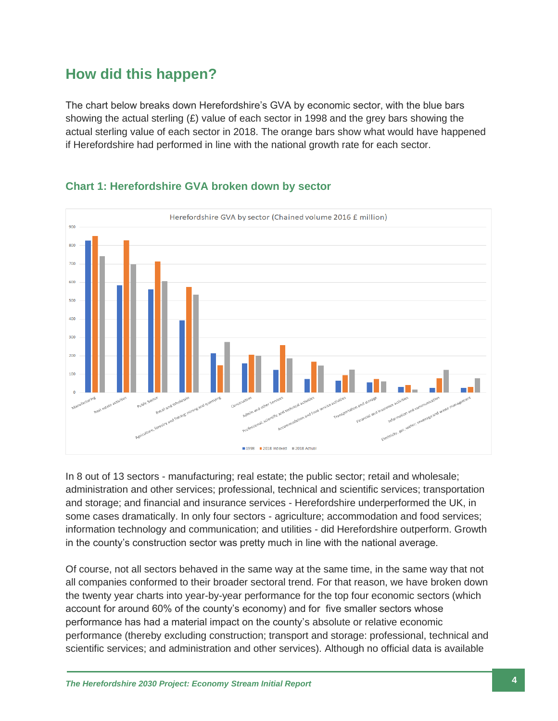## **How did this happen?**

The chart below breaks down Herefordshire's GVA by economic sector, with the blue bars showing the actual sterling  $(E)$  value of each sector in 1998 and the grey bars showing the actual sterling value of each sector in 2018. The orange bars show what would have happened if Herefordshire had performed in line with the national growth rate for each sector.



#### **Chart 1: Herefordshire GVA broken down by sector**

In 8 out of 13 sectors - manufacturing; real estate; the public sector; retail and wholesale; administration and other services; professional, technical and scientific services; transportation and storage; and financial and insurance services - Herefordshire underperformed the UK, in some cases dramatically. In only four sectors - agriculture; accommodation and food services; information technology and communication; and utilities - did Herefordshire outperform. Growth in the county's construction sector was pretty much in line with the national average.

Of course, not all sectors behaved in the same way at the same time, in the same way that not all companies conformed to their broader sectoral trend. For that reason, we have broken down the twenty year charts into year-by-year performance for the top four economic sectors (which account for around 60% of the county's economy) and for five smaller sectors whose performance has had a material impact on the county's absolute or relative economic performance (thereby excluding construction; transport and storage: professional, technical and scientific services; and administration and other services). Although no official data is available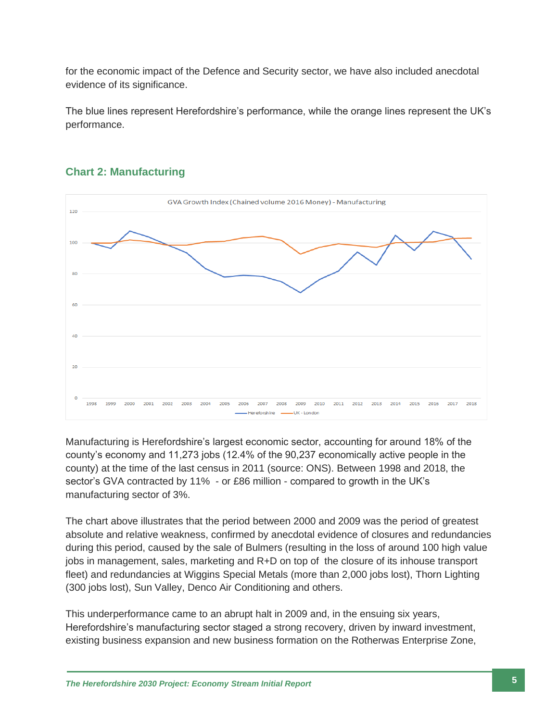for the economic impact of the Defence and Security sector, we have also included anecdotal evidence of its significance.

The blue lines represent Herefordshire's performance, while the orange lines represent the UK's performance.



#### **Chart 2: Manufacturing**

Manufacturing is Herefordshire's largest economic sector, accounting for around 18% of the county's economy and 11,273 jobs (12.4% of the 90,237 economically active people in the county) at the time of the last census in 2011 (source: ONS). Between 1998 and 2018, the sector's GVA contracted by 11% - or £86 million - compared to growth in the UK's manufacturing sector of 3%.

The chart above illustrates that the period between 2000 and 2009 was the period of greatest absolute and relative weakness, confirmed by anecdotal evidence of closures and redundancies during this period, caused by the sale of Bulmers (resulting in the loss of around 100 high value jobs in management, sales, marketing and R+D on top of the closure of its inhouse transport fleet) and redundancies at Wiggins Special Metals (more than 2,000 jobs lost), Thorn Lighting (300 jobs lost), Sun Valley, Denco Air Conditioning and others.

This underperformance came to an abrupt halt in 2009 and, in the ensuing six years, Herefordshire's manufacturing sector staged a strong recovery, driven by inward investment, existing business expansion and new business formation on the Rotherwas Enterprise Zone,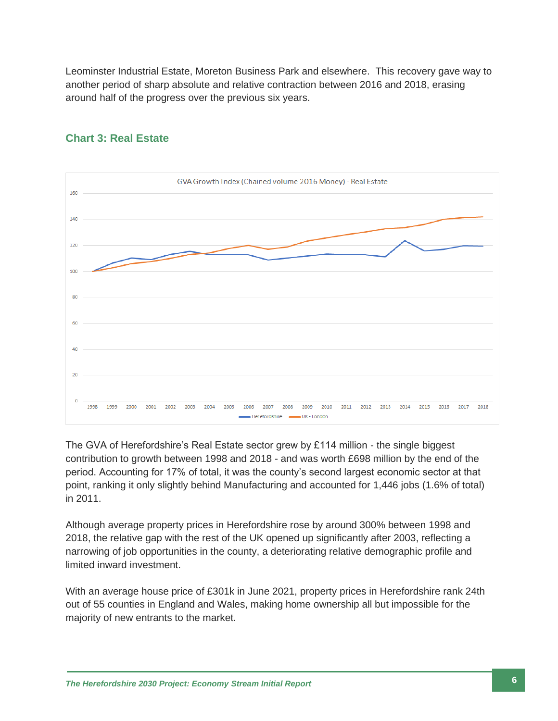Leominster Industrial Estate, Moreton Business Park and elsewhere. This recovery gave way to another period of sharp absolute and relative contraction between 2016 and 2018, erasing around half of the progress over the previous six years.



#### **Chart 3: Real Estate**

The GVA of Herefordshire's Real Estate sector grew by £114 million - the single biggest contribution to growth between 1998 and 2018 - and was worth £698 million by the end of the period. Accounting for 17% of total, it was the county's second largest economic sector at that point, ranking it only slightly behind Manufacturing and accounted for 1,446 jobs (1.6% of total) in 2011.

Although average property prices in Herefordshire rose by around 300% between 1998 and 2018, the relative gap with the rest of the UK opened up significantly after 2003, reflecting a narrowing of job opportunities in the county, a deteriorating relative demographic profile and limited inward investment.

With an average house price of £301k in June 2021, property prices in Herefordshire rank 24th out of 55 counties in England and Wales, making home ownership all but impossible for the majority of new entrants to the market.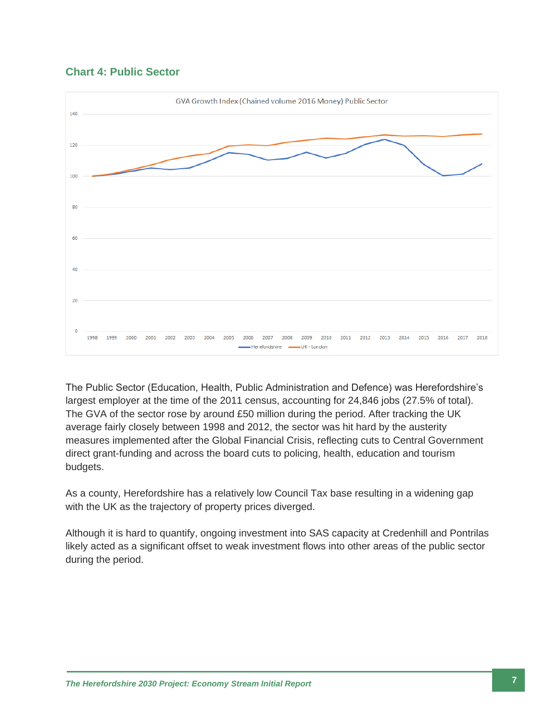



The Public Sector (Education, Health, Public Administration and Defence) was Herefordshire's largest employer at the time of the 2011 census, accounting for 24,846 jobs (27.5% of total). The GVA of the sector rose by around £50 million during the period. After tracking the UK average fairly closely between 1998 and 2012, the sector was hit hard by the austerity measures implemented after the Global Financial Crisis, reflecting cuts to Central Government direct grant-funding and across the board cuts to policing, health, education and tourism budgets.

As a county, Herefordshire has a relatively low Council Tax base resulting in a widening gap with the UK as the trajectory of property prices diverged.

Although it is hard to quantify, ongoing investment into SAS capacity at Credenhill and Pontrilas likely acted as a significant offset to weak investment flows into other areas of the public sector during the period.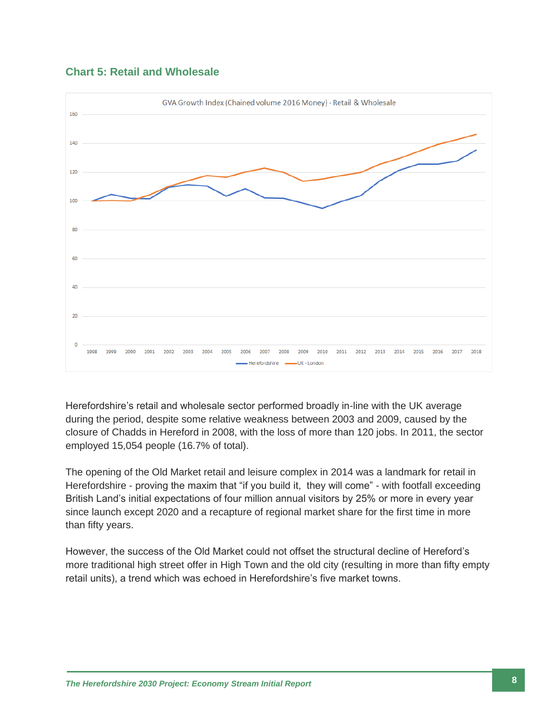



Herefordshire's retail and wholesale sector performed broadly in-line with the UK average during the period, despite some relative weakness between 2003 and 2009, caused by the closure of Chadds in Hereford in 2008, with the loss of more than 120 jobs. In 2011, the sector employed 15,054 people (16.7% of total).

The opening of the Old Market retail and leisure complex in 2014 was a landmark for retail in Herefordshire - proving the maxim that "if you build it, they will come" - with footfall exceeding British Land's initial expectations of four million annual visitors by 25% or more in every year since launch except 2020 and a recapture of regional market share for the first time in more than fifty years.

However, the success of the Old Market could not offset the structural decline of Hereford's more traditional high street offer in High Town and the old city (resulting in more than fifty empty retail units), a trend which was echoed in Herefordshire's five market towns.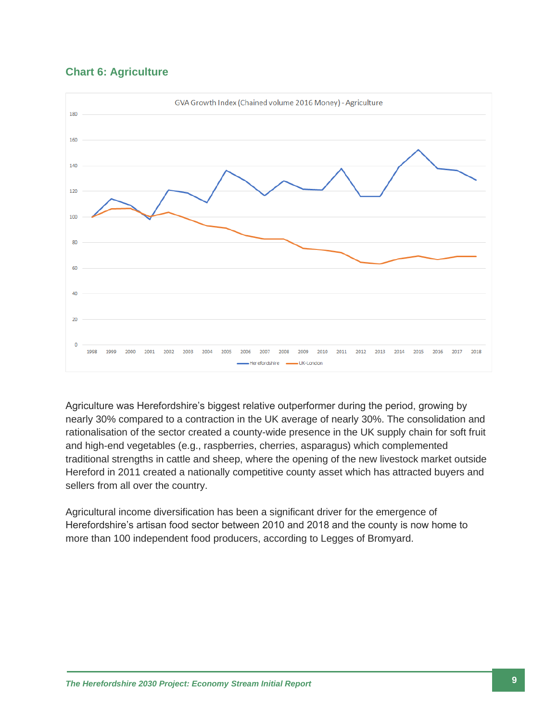#### **Chart 6: Agriculture**



Agriculture was Herefordshire's biggest relative outperformer during the period, growing by nearly 30% compared to a contraction in the UK average of nearly 30%. The consolidation and rationalisation of the sector created a county-wide presence in the UK supply chain for soft fruit and high-end vegetables (e.g., raspberries, cherries, asparagus) which complemented traditional strengths in cattle and sheep, where the opening of the new livestock market outside Hereford in 2011 created a nationally competitive county asset which has attracted buyers and sellers from all over the country.

Agricultural income diversification has been a significant driver for the emergence of Herefordshire's artisan food sector between 2010 and 2018 and the county is now home to more than 100 independent food producers, according to Legges of Bromyard.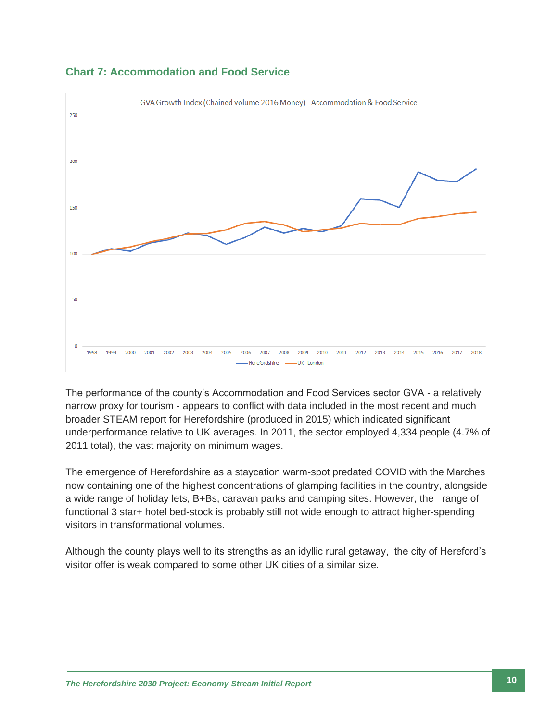

#### **Chart 7: Accommodation and Food Service**

The performance of the county's Accommodation and Food Services sector GVA - a relatively narrow proxy for tourism - appears to conflict with data included in the most recent and much broader STEAM report for Herefordshire (produced in 2015) which indicated significant underperformance relative to UK averages. In 2011, the sector employed 4,334 people (4.7% of 2011 total), the vast majority on minimum wages.

The emergence of Herefordshire as a staycation warm-spot predated COVID with the Marches now containing one of the highest concentrations of glamping facilities in the country, alongside a wide range of holiday lets, B+Bs, caravan parks and camping sites. However, the range of functional 3 star+ hotel bed-stock is probably still not wide enough to attract higher-spending visitors in transformational volumes.

Although the county plays well to its strengths as an idyllic rural getaway, the city of Hereford's visitor offer is weak compared to some other UK cities of a similar size.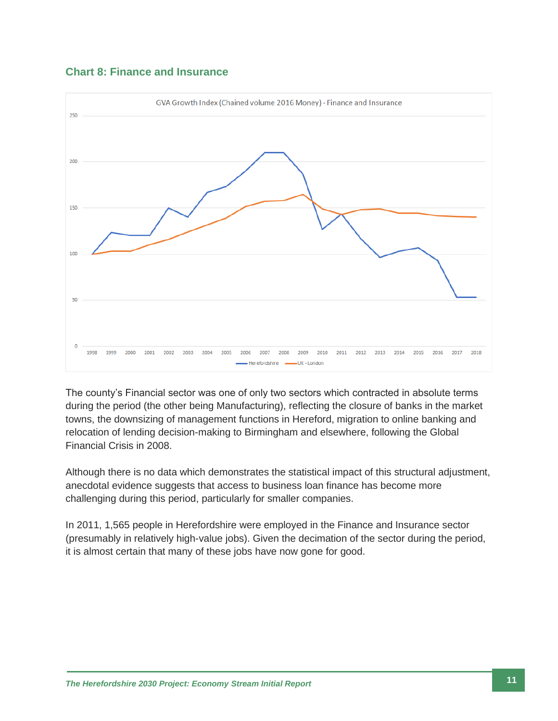



The county's Financial sector was one of only two sectors which contracted in absolute terms during the period (the other being Manufacturing), reflecting the closure of banks in the market towns, the downsizing of management functions in Hereford, migration to online banking and relocation of lending decision-making to Birmingham and elsewhere, following the Global Financial Crisis in 2008.

Although there is no data which demonstrates the statistical impact of this structural adjustment, anecdotal evidence suggests that access to business loan finance has become more challenging during this period, particularly for smaller companies.

In 2011, 1,565 people in Herefordshire were employed in the Finance and Insurance sector (presumably in relatively high-value jobs). Given the decimation of the sector during the period, it is almost certain that many of these jobs have now gone for good.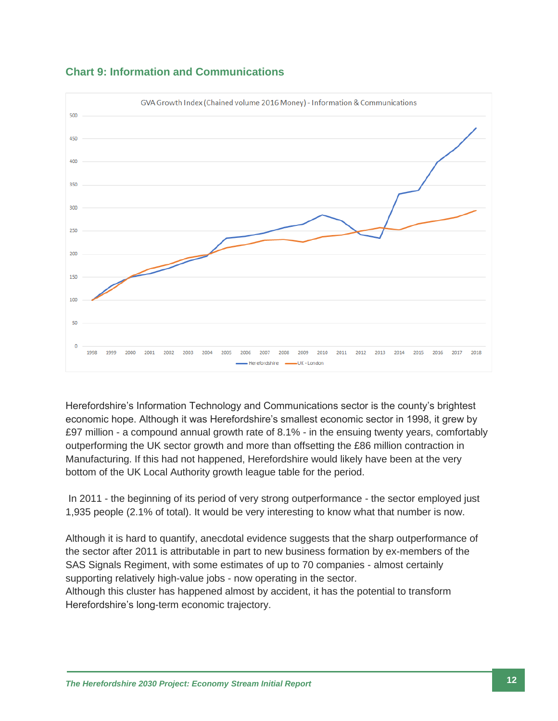

#### **Chart 9: Information and Communications**

Herefordshire's Information Technology and Communications sector is the county's brightest economic hope. Although it was Herefordshire's smallest economic sector in 1998, it grew by £97 million - a compound annual growth rate of 8.1% - in the ensuing twenty years, comfortably outperforming the UK sector growth and more than offsetting the £86 million contraction in Manufacturing. If this had not happened, Herefordshire would likely have been at the very bottom of the UK Local Authority growth league table for the period.

In 2011 - the beginning of its period of very strong outperformance - the sector employed just 1,935 people (2.1% of total). It would be very interesting to know what that number is now.

Although it is hard to quantify, anecdotal evidence suggests that the sharp outperformance of the sector after 2011 is attributable in part to new business formation by ex-members of the SAS Signals Regiment, with some estimates of up to 70 companies - almost certainly supporting relatively high-value jobs - now operating in the sector.

Although this cluster has happened almost by accident, it has the potential to transform Herefordshire's long-term economic trajectory.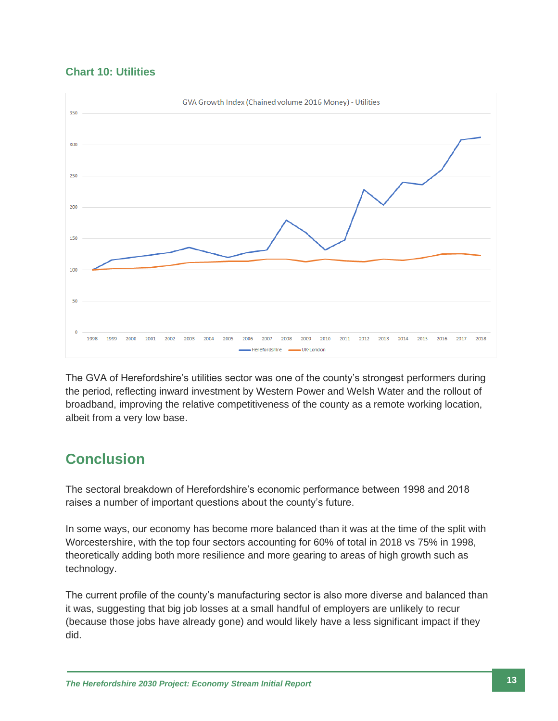#### **Chart 10: Utilities**



The GVA of Herefordshire's utilities sector was one of the county's strongest performers during the period, reflecting inward investment by Western Power and Welsh Water and the rollout of broadband, improving the relative competitiveness of the county as a remote working location, albeit from a very low base.

## **Conclusion**

The sectoral breakdown of Herefordshire's economic performance between 1998 and 2018 raises a number of important questions about the county's future.

In some ways, our economy has become more balanced than it was at the time of the split with Worcestershire, with the top four sectors accounting for 60% of total in 2018 vs 75% in 1998, theoretically adding both more resilience and more gearing to areas of high growth such as technology.

The current profile of the county's manufacturing sector is also more diverse and balanced than it was, suggesting that big job losses at a small handful of employers are unlikely to recur (because those jobs have already gone) and would likely have a less significant impact if they did.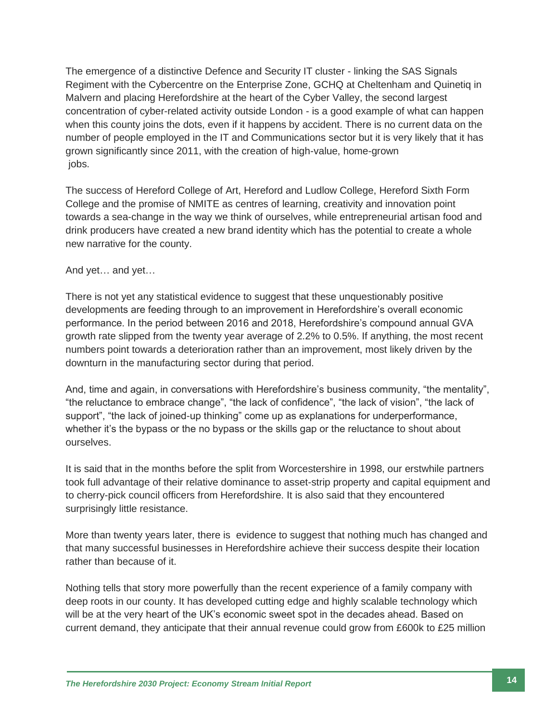The emergence of a distinctive Defence and Security IT cluster - linking the SAS Signals Regiment with the Cybercentre on the Enterprise Zone, GCHQ at Cheltenham and Quinetiq in Malvern and placing Herefordshire at the heart of the Cyber Valley, the second largest concentration of cyber-related activity outside London - is a good example of what can happen when this county joins the dots, even if it happens by accident. There is no current data on the number of people employed in the IT and Communications sector but it is very likely that it has grown significantly since 2011, with the creation of high-value, home-grown jobs.

The success of Hereford College of Art, Hereford and Ludlow College, Hereford Sixth Form College and the promise of NMITE as centres of learning, creativity and innovation point towards a sea-change in the way we think of ourselves, while entrepreneurial artisan food and drink producers have created a new brand identity which has the potential to create a whole new narrative for the county.

#### And yet… and yet…

There is not yet any statistical evidence to suggest that these unquestionably positive developments are feeding through to an improvement in Herefordshire's overall economic performance. In the period between 2016 and 2018, Herefordshire's compound annual GVA growth rate slipped from the twenty year average of 2.2% to 0.5%. If anything, the most recent numbers point towards a deterioration rather than an improvement, most likely driven by the downturn in the manufacturing sector during that period.

And, time and again, in conversations with Herefordshire's business community, "the mentality", "the reluctance to embrace change", "the lack of confidence", "the lack of vision", "the lack of support", "the lack of joined-up thinking" come up as explanations for underperformance, whether it's the bypass or the no bypass or the skills gap or the reluctance to shout about ourselves.

It is said that in the months before the split from Worcestershire in 1998, our erstwhile partners took full advantage of their relative dominance to asset-strip property and capital equipment and to cherry-pick council officers from Herefordshire. It is also said that they encountered surprisingly little resistance.

More than twenty years later, there is evidence to suggest that nothing much has changed and that many successful businesses in Herefordshire achieve their success despite their location rather than because of it.

Nothing tells that story more powerfully than the recent experience of a family company with deep roots in our county. It has developed cutting edge and highly scalable technology which will be at the very heart of the UK's economic sweet spot in the decades ahead. Based on current demand, they anticipate that their annual revenue could grow from £600k to £25 million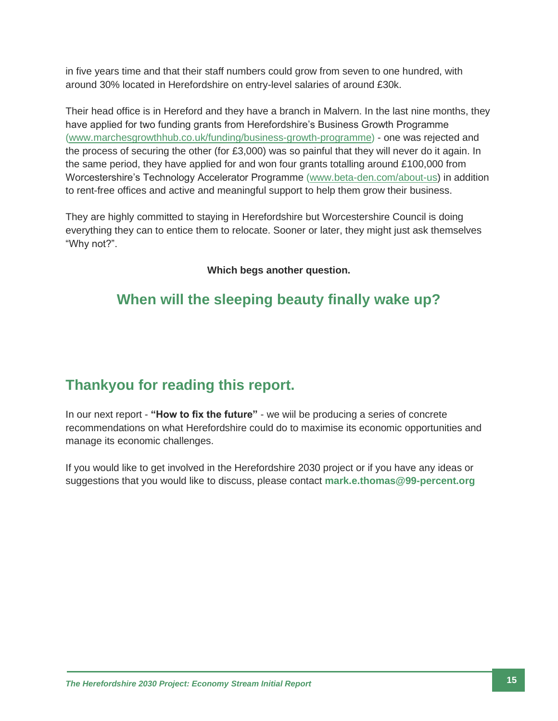in five years time and that their staff numbers could grow from seven to one hundred, with around 30% located in Herefordshire on entry-level salaries of around £30k.

Their head office is in Hereford and they have a branch in Malvern. In the last nine months, they have applied for two funding grants from Herefordshire's Business Growth Programme [\(www.marchesgrowthhub.co.uk/funding/business-growth-programme\)](http://www.marchesgrowthhub.co.uk/funding/business-growth-programme) - one was rejected and the process of securing the other (for £3,000) was so painful that they will never do it again. In the same period, they have applied for and won four grants totalling around £100,000 from Worcestershire's Technology Accelerator Programme [\(www.beta-den.com/about-us\)](http://www.beta-den.com/about-us) in addition to rent-free offices and active and meaningful support to help them grow their business.

They are highly committed to staying in Herefordshire but Worcestershire Council is doing everything they can to entice them to relocate. Sooner or later, they might just ask themselves "Why not?".

**Which begs another question.**

## **When will the sleeping beauty finally wake up?**

## **Thankyou for reading this report.**

In our next report - **"How to fix the future"** - we wiil be producing a series of concrete recommendations on what Herefordshire could do to maximise its economic opportunities and manage its economic challenges.

If you would like to get involved in the Herefordshire 2030 project or if you have any ideas or suggestions that you would like to discuss, please contact **[mark.e.thomas@99-percent.org](mailto:mark.e.thomas@99-percent.org)**